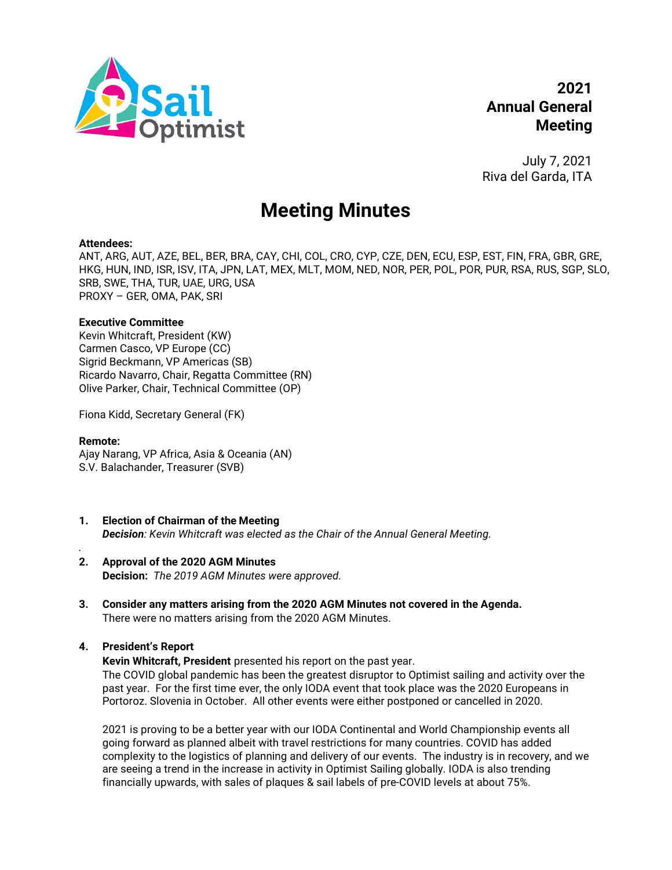

July 7, 2021 Riva del Garda, ITA

# Meeting Minutes

### Attendees:

ANT, ARG, AUT, AZE, BEL, BER, BRA, CAY, CHI, COL, CRO, CYP, CZE, DEN, ECU, ESP, EST, FIN, FRA, GBR, GRE, HKG, HUN, IND, ISR, ISV, ITA, JPN, LAT, MEX, MLT, MOM, NED, NOR, PER, POL, POR, PUR, RSA, RUS, SGP, SLO, SRB, SWE, THA, TUR, UAE, URG, USA PROXY – GER, OMA, PAK, SRI

## Executive Committee

Kevin Whitcraft, President (KW) Carmen Casco, VP Europe (CC) Sigrid Beckmann, VP Americas (SB) Ricardo Navarro, Chair, Regatta Committee (RN) Olive Parker, Chair, Technical Committee (OP)

Fiona Kidd, Secretary General (FK)

## Remote:

.

Ajay Narang, VP Africa, Asia & Oceania (AN) S.V. Balachander, Treasurer (SVB)

- 1. Election of Chairman of the Meeting Decision: Kevin Whitcraft was elected as the Chair of the Annual General Meeting.
- 2. Approval of the 2020 AGM Minutes Decision: The 2019 AGM Minutes were approved.
- 3. Consider any matters arising from the 2020 AGM Minutes not covered in the Agenda. There were no matters arising from the 2020 AGM Minutes.

# 4. President's Report

Kevin Whitcraft, President presented his report on the past year.

The COVID global pandemic has been the greatest disruptor to Optimist sailing and activity over the past year. For the first time ever, the only IODA event that took place was the 2020 Europeans in Portoroz. Slovenia in October. All other events were either postponed or cancelled in 2020.

2021 is proving to be a better year with our IODA Continental and World Championship events all going forward as planned albeit with travel restrictions for many countries. COVID has added complexity to the logistics of planning and delivery of our events. The industry is in recovery, and we are seeing a trend in the increase in activity in Optimist Sailing globally. IODA is also trending financially upwards, with sales of plaques & sail labels of pre-COVID levels at about 75%.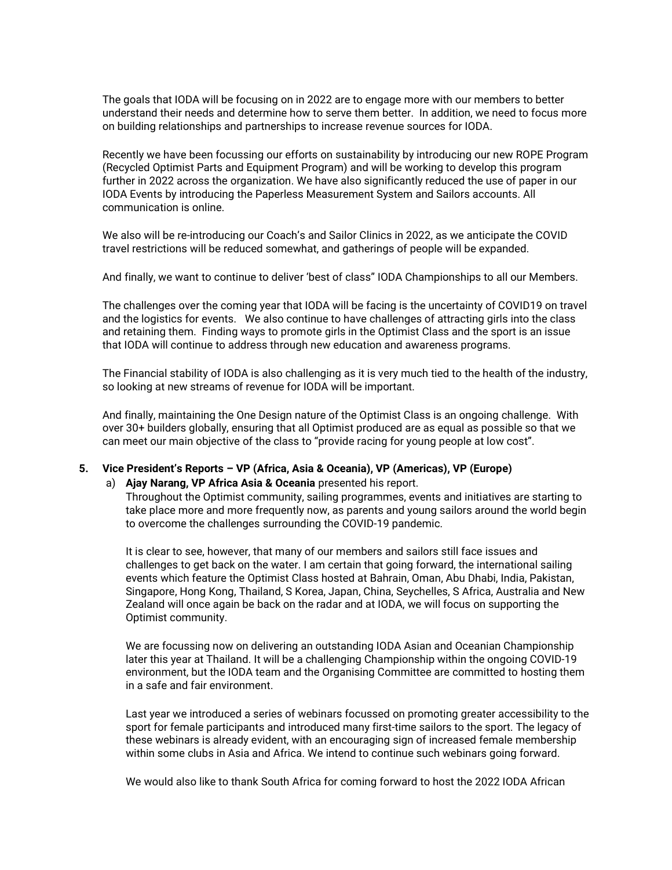The goals that IODA will be focusing on in 2022 are to engage more with our members to better understand their needs and determine how to serve them better. In addition, we need to focus more on building relationships and partnerships to increase revenue sources for IODA.

Recently we have been focussing our efforts on sustainability by introducing our new ROPE Program (Recycled Optimist Parts and Equipment Program) and will be working to develop this program further in 2022 across the organization. We have also significantly reduced the use of paper in our IODA Events by introducing the Paperless Measurement System and Sailors accounts. All communication is online.

We also will be re-introducing our Coach's and Sailor Clinics in 2022, as we anticipate the COVID travel restrictions will be reduced somewhat, and gatherings of people will be expanded.

And finally, we want to continue to deliver 'best of class" IODA Championships to all our Members.

The challenges over the coming year that IODA will be facing is the uncertainty of COVID19 on travel and the logistics for events. We also continue to have challenges of attracting girls into the class and retaining them. Finding ways to promote girls in the Optimist Class and the sport is an issue that IODA will continue to address through new education and awareness programs.

The Financial stability of IODA is also challenging as it is very much tied to the health of the industry, so looking at new streams of revenue for IODA will be important.

And finally, maintaining the One Design nature of the Optimist Class is an ongoing challenge. With over 30+ builders globally, ensuring that all Optimist produced are as equal as possible so that we can meet our main objective of the class to "provide racing for young people at low cost".

### 5. Vice President's Reports – VP (Africa, Asia & Oceania), VP (Americas), VP (Europe)

#### a) Ajay Narang, VP Africa Asia & Oceania presented his report.

Throughout the Optimist community, sailing programmes, events and initiatives are starting to take place more and more frequently now, as parents and young sailors around the world begin to overcome the challenges surrounding the COVID-19 pandemic.

It is clear to see, however, that many of our members and sailors still face issues and challenges to get back on the water. I am certain that going forward, the international sailing events which feature the Optimist Class hosted at Bahrain, Oman, Abu Dhabi, India, Pakistan, Singapore, Hong Kong, Thailand, S Korea, Japan, China, Seychelles, S Africa, Australia and New Zealand will once again be back on the radar and at IODA, we will focus on supporting the Optimist community.

We are focussing now on delivering an outstanding IODA Asian and Oceanian Championship later this year at Thailand. It will be a challenging Championship within the ongoing COVID-19 environment, but the IODA team and the Organising Committee are committed to hosting them in a safe and fair environment.

Last year we introduced a series of webinars focussed on promoting greater accessibility to the sport for female participants and introduced many first-time sailors to the sport. The legacy of these webinars is already evident, with an encouraging sign of increased female membership within some clubs in Asia and Africa. We intend to continue such webinars going forward.

We would also like to thank South Africa for coming forward to host the 2022 IODA African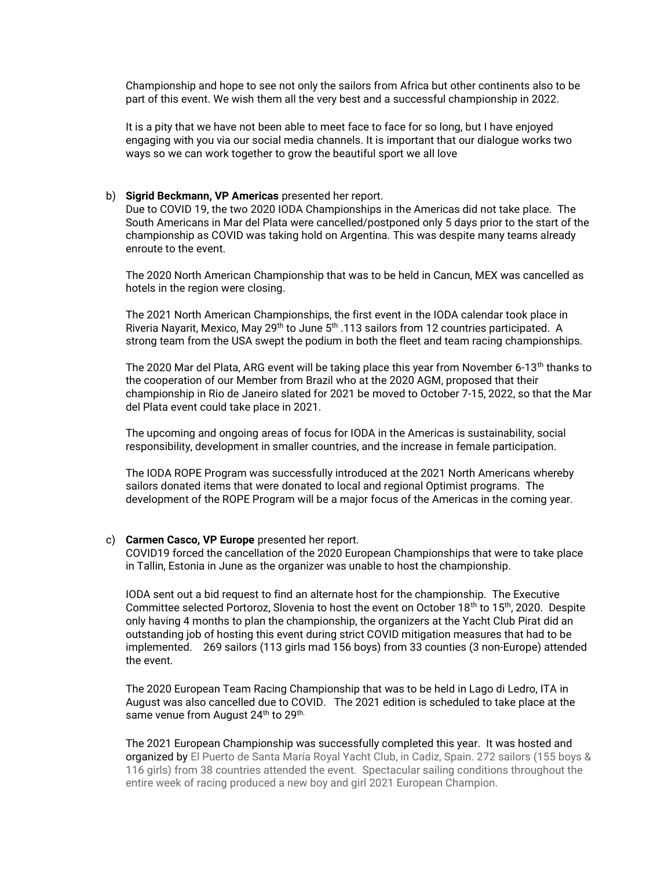Championship and hope to see not only the sailors from Africa but other continents also to be part of this event. We wish them all the very best and a successful championship in 2022.

It is a pity that we have not been able to meet face to face for so long, but I have enjoyed engaging with you via our social media channels. It is important that our dialogue works two ways so we can work together to grow the beautiful sport we all love

#### b) Sigrid Beckmann, VP Americas presented her report.

Due to COVID 19, the two 2020 IODA Championships in the Americas did not take place. The South Americans in Mar del Plata were cancelled/postponed only 5 days prior to the start of the championship as COVID was taking hold on Argentina. This was despite many teams already enroute to the event.

The 2020 North American Championship that was to be held in Cancun, MEX was cancelled as hotels in the region were closing.

The 2021 North American Championships, the first event in the IODA calendar took place in Riveria Nayarit, Mexico, May 29<sup>th</sup> to June 5<sup>th</sup> .113 sailors from 12 countries participated. A strong team from the USA swept the podium in both the fleet and team racing championships.

The 2020 Mar del Plata, ARG event will be taking place this year from November 6-13<sup>th</sup> thanks to the cooperation of our Member from Brazil who at the 2020 AGM, proposed that their championship in Rio de Janeiro slated for 2021 be moved to October 7-15, 2022, so that the Mar del Plata event could take place in 2021.

The upcoming and ongoing areas of focus for IODA in the Americas is sustainability, social responsibility, development in smaller countries, and the increase in female participation.

The IODA ROPE Program was successfully introduced at the 2021 North Americans whereby sailors donated items that were donated to local and regional Optimist programs. The development of the ROPE Program will be a major focus of the Americas in the coming year.

#### c) Carmen Casco, VP Europe presented her report.

COVID19 forced the cancellation of the 2020 European Championships that were to take place in Tallin, Estonia in June as the organizer was unable to host the championship.

IODA sent out a bid request to find an alternate host for the championship. The Executive Committee selected Portoroz, Slovenia to host the event on October  $18<sup>th</sup>$  to  $15<sup>th</sup>$ , 2020. Despite only having 4 months to plan the championship, the organizers at the Yacht Club Pirat did an outstanding job of hosting this event during strict COVID mitigation measures that had to be implemented. 269 sailors (113 girls mad 156 boys) from 33 counties (3 non-Europe) attended the event.

The 2020 European Team Racing Championship that was to be held in Lago di Ledro, ITA in August was also cancelled due to COVID. The 2021 edition is scheduled to take place at the same venue from August 24<sup>th</sup> to 29<sup>th.</sup>

The 2021 European Championship was successfully completed this year. It was hosted and organized by El Puerto de Santa María Royal Yacht Club, in Cadiz, Spain. 272 sailors (155 boys & 116 girls) from 38 countries attended the event. Spectacular sailing conditions throughout the entire week of racing produced a new boy and girl 2021 European Champion.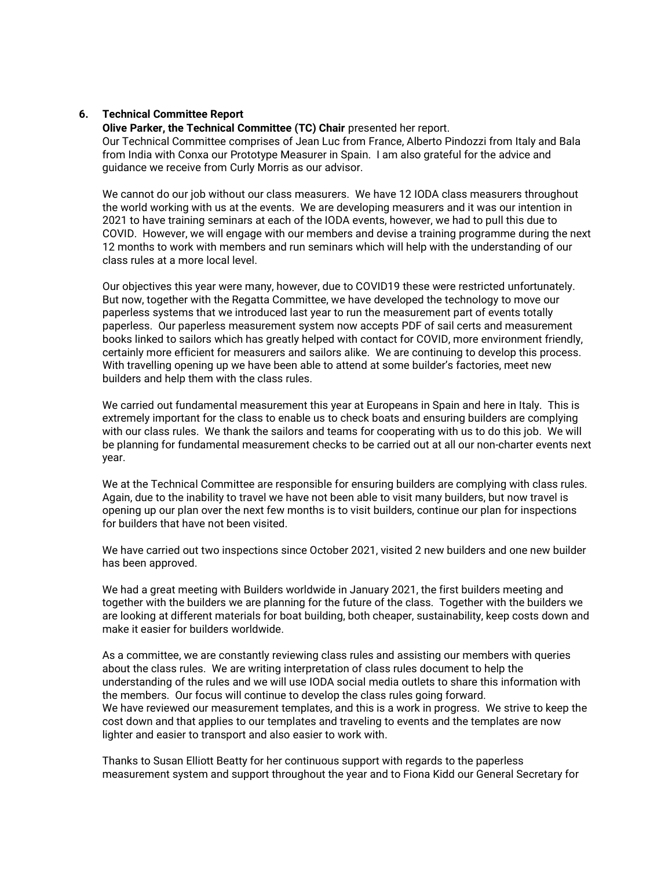### 6. Technical Committee Report

Olive Parker, the Technical Committee (TC) Chair presented her report. Our Technical Committee comprises of Jean Luc from France, Alberto Pindozzi from Italy and Bala from India with Conxa our Prototype Measurer in Spain. I am also grateful for the advice and guidance we receive from Curly Morris as our advisor.

We cannot do our job without our class measurers. We have 12 IODA class measurers throughout the world working with us at the events. We are developing measurers and it was our intention in 2021 to have training seminars at each of the IODA events, however, we had to pull this due to COVID. However, we will engage with our members and devise a training programme during the next 12 months to work with members and run seminars which will help with the understanding of our class rules at a more local level.

Our objectives this year were many, however, due to COVID19 these were restricted unfortunately. But now, together with the Regatta Committee, we have developed the technology to move our paperless systems that we introduced last year to run the measurement part of events totally paperless. Our paperless measurement system now accepts PDF of sail certs and measurement books linked to sailors which has greatly helped with contact for COVID, more environment friendly, certainly more efficient for measurers and sailors alike. We are continuing to develop this process. With travelling opening up we have been able to attend at some builder's factories, meet new builders and help them with the class rules.

We carried out fundamental measurement this year at Europeans in Spain and here in Italy. This is extremely important for the class to enable us to check boats and ensuring builders are complying with our class rules. We thank the sailors and teams for cooperating with us to do this job. We will be planning for fundamental measurement checks to be carried out at all our non-charter events next year.

We at the Technical Committee are responsible for ensuring builders are complying with class rules. Again, due to the inability to travel we have not been able to visit many builders, but now travel is opening up our plan over the next few months is to visit builders, continue our plan for inspections for builders that have not been visited.

We have carried out two inspections since October 2021, visited 2 new builders and one new builder has been approved.

We had a great meeting with Builders worldwide in January 2021, the first builders meeting and together with the builders we are planning for the future of the class. Together with the builders we are looking at different materials for boat building, both cheaper, sustainability, keep costs down and make it easier for builders worldwide.

As a committee, we are constantly reviewing class rules and assisting our members with queries about the class rules. We are writing interpretation of class rules document to help the understanding of the rules and we will use IODA social media outlets to share this information with the members. Our focus will continue to develop the class rules going forward. We have reviewed our measurement templates, and this is a work in progress. We strive to keep the cost down and that applies to our templates and traveling to events and the templates are now lighter and easier to transport and also easier to work with.

Thanks to Susan Elliott Beatty for her continuous support with regards to the paperless measurement system and support throughout the year and to Fiona Kidd our General Secretary for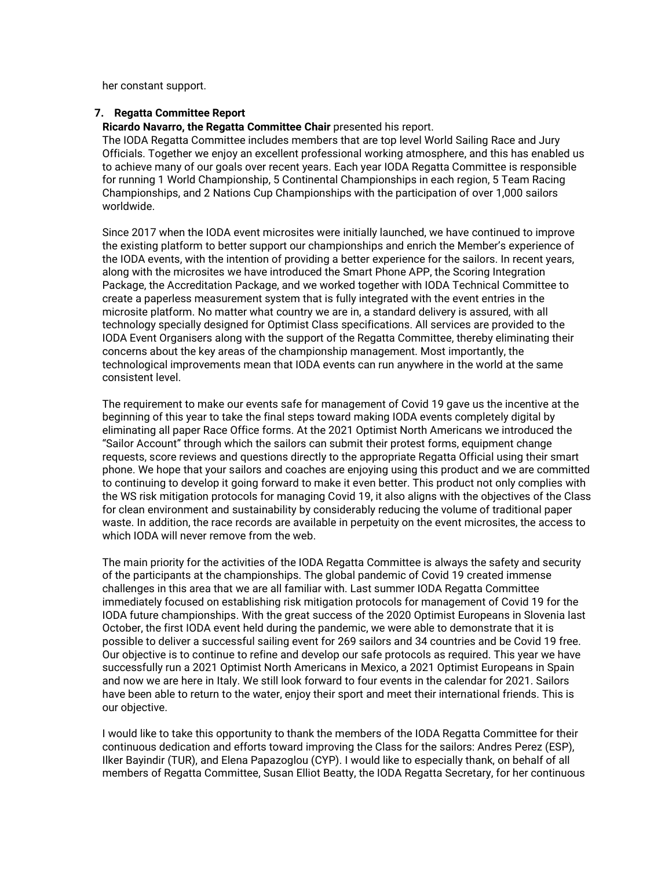her constant support.

#### 7. Regatta Committee Report

Ricardo Navarro, the Regatta Committee Chair presented his report.

The IODA Regatta Committee includes members that are top level World Sailing Race and Jury Officials. Together we enjoy an excellent professional working atmosphere, and this has enabled us to achieve many of our goals over recent years. Each year IODA Regatta Committee is responsible for running 1 World Championship, 5 Continental Championships in each region, 5 Team Racing Championships, and 2 Nations Cup Championships with the participation of over 1,000 sailors worldwide.

Since 2017 when the IODA event microsites were initially launched, we have continued to improve the existing platform to better support our championships and enrich the Member's experience of the IODA events, with the intention of providing a better experience for the sailors. In recent years, along with the microsites we have introduced the Smart Phone APP, the Scoring Integration Package, the Accreditation Package, and we worked together with IODA Technical Committee to create a paperless measurement system that is fully integrated with the event entries in the microsite platform. No matter what country we are in, a standard delivery is assured, with all technology specially designed for Optimist Class specifications. All services are provided to the IODA Event Organisers along with the support of the Regatta Committee, thereby eliminating their concerns about the key areas of the championship management. Most importantly, the technological improvements mean that IODA events can run anywhere in the world at the same consistent level.

The requirement to make our events safe for management of Covid 19 gave us the incentive at the beginning of this year to take the final steps toward making IODA events completely digital by eliminating all paper Race Office forms. At the 2021 Optimist North Americans we introduced the "Sailor Account" through which the sailors can submit their protest forms, equipment change requests, score reviews and questions directly to the appropriate Regatta Official using their smart phone. We hope that your sailors and coaches are enjoying using this product and we are committed to continuing to develop it going forward to make it even better. This product not only complies with the WS risk mitigation protocols for managing Covid 19, it also aligns with the objectives of the Class for clean environment and sustainability by considerably reducing the volume of traditional paper waste. In addition, the race records are available in perpetuity on the event microsites, the access to which IODA will never remove from the web.

The main priority for the activities of the IODA Regatta Committee is always the safety and security of the participants at the championships. The global pandemic of Covid 19 created immense challenges in this area that we are all familiar with. Last summer IODA Regatta Committee immediately focused on establishing risk mitigation protocols for management of Covid 19 for the IODA future championships. With the great success of the 2020 Optimist Europeans in Slovenia last October, the first IODA event held during the pandemic, we were able to demonstrate that it is possible to deliver a successful sailing event for 269 sailors and 34 countries and be Covid 19 free. Our objective is to continue to refine and develop our safe protocols as required. This year we have successfully run a 2021 Optimist North Americans in Mexico, a 2021 Optimist Europeans in Spain and now we are here in Italy. We still look forward to four events in the calendar for 2021. Sailors have been able to return to the water, enjoy their sport and meet their international friends. This is our objective.

I would like to take this opportunity to thank the members of the IODA Regatta Committee for their continuous dedication and efforts toward improving the Class for the sailors: Andres Perez (ESP), Ilker Bayindir (TUR), and Elena Papazoglou (CYP). I would like to especially thank, on behalf of all members of Regatta Committee, Susan Elliot Beatty, the IODA Regatta Secretary, for her continuous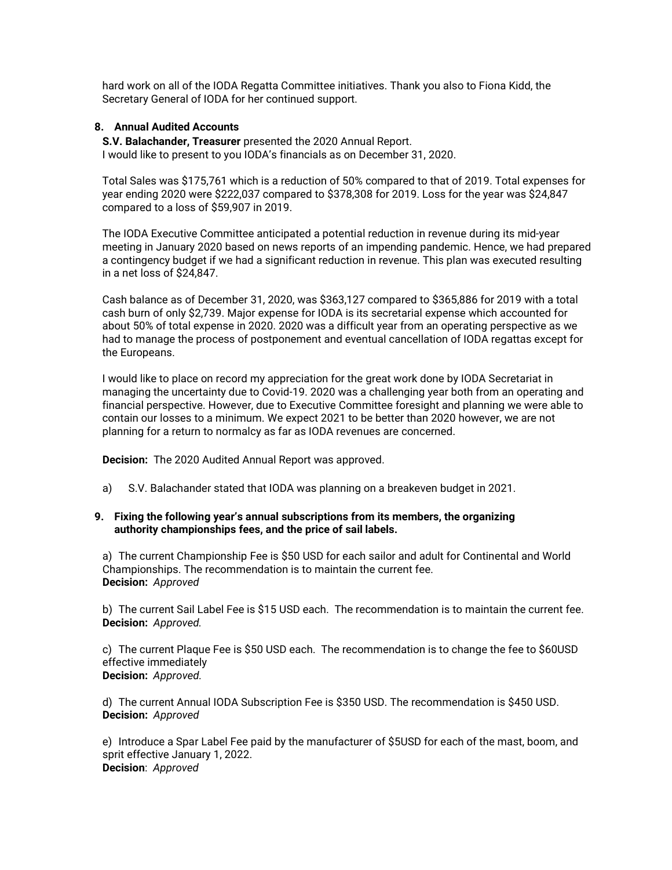hard work on all of the IODA Regatta Committee initiatives. Thank you also to Fiona Kidd, the Secretary General of IODA for her continued support.

## 8. Annual Audited Accounts

S.V. Balachander, Treasurer presented the 2020 Annual Report. I would like to present to you IODA's financials as on December 31, 2020.

Total Sales was \$175,761 which is a reduction of 50% compared to that of 2019. Total expenses for year ending 2020 were \$222,037 compared to \$378,308 for 2019. Loss for the year was \$24,847 compared to a loss of \$59,907 in 2019.

The IODA Executive Committee anticipated a potential reduction in revenue during its mid-year meeting in January 2020 based on news reports of an impending pandemic. Hence, we had prepared a contingency budget if we had a significant reduction in revenue. This plan was executed resulting in a net loss of \$24,847.

Cash balance as of December 31, 2020, was \$363,127 compared to \$365,886 for 2019 with a total cash burn of only \$2,739. Major expense for IODA is its secretarial expense which accounted for about 50% of total expense in 2020. 2020 was a difficult year from an operating perspective as we had to manage the process of postponement and eventual cancellation of IODA regattas except for the Europeans.

I would like to place on record my appreciation for the great work done by IODA Secretariat in managing the uncertainty due to Covid-19. 2020 was a challenging year both from an operating and financial perspective. However, due to Executive Committee foresight and planning we were able to contain our losses to a minimum. We expect 2021 to be better than 2020 however, we are not planning for a return to normalcy as far as IODA revenues are concerned.

Decision: The 2020 Audited Annual Report was approved.

a) S.V. Balachander stated that IODA was planning on a breakeven budget in 2021.

## 9. Fixing the following year's annual subscriptions from its members, the organizing authority championships fees, and the price of sail labels.

a) The current Championship Fee is \$50 USD for each sailor and adult for Continental and World Championships. The recommendation is to maintain the current fee. Decision: Approved

b) The current Sail Label Fee is \$15 USD each. The recommendation is to maintain the current fee. Decision: Approved.

c) The current Plaque Fee is \$50 USD each. The recommendation is to change the fee to \$60USD effective immediately Decision: Approved.

d) The current Annual IODA Subscription Fee is \$350 USD. The recommendation is \$450 USD. Decision: Approved

e) Introduce a Spar Label Fee paid by the manufacturer of \$5USD for each of the mast, boom, and sprit effective January 1, 2022. Decision: Approved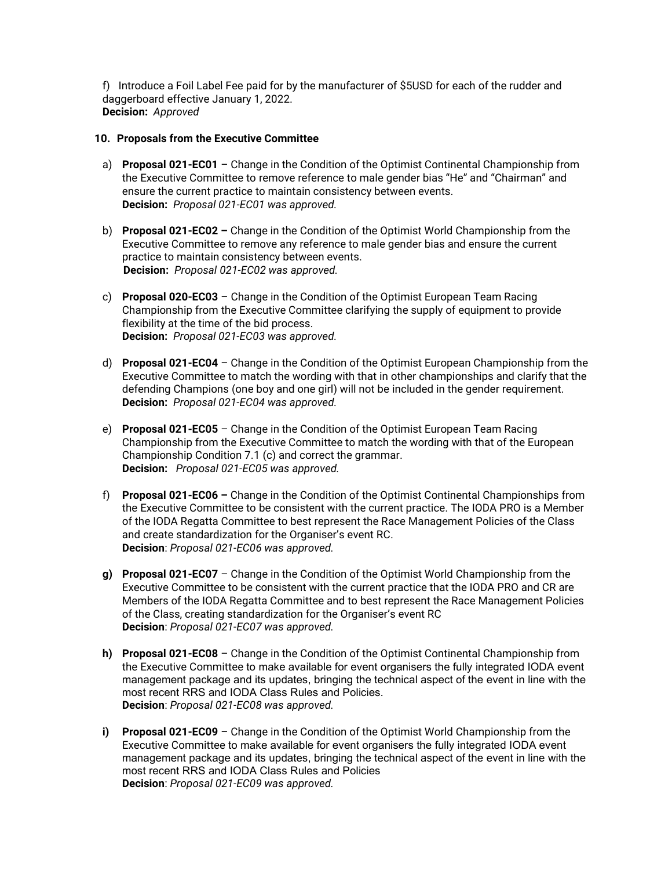f) Introduce a Foil Label Fee paid for by the manufacturer of \$5USD for each of the rudder and daggerboard effective January 1, 2022. Decision: Approved

## 10. Proposals from the Executive Committee

- a) Proposal 021-EC01 Change in the Condition of the Optimist Continental Championship from the Executive Committee to remove reference to male gender bias "He" and "Chairman" and ensure the current practice to maintain consistency between events. Decision: Proposal 021-EC01 was approved.
- b) Proposal 021-EC02 Change in the Condition of the Optimist World Championship from the Executive Committee to remove any reference to male gender bias and ensure the current practice to maintain consistency between events. Decision: Proposal 021-EC02 was approved.
- c) Proposal 020-EC03 Change in the Condition of the Optimist European Team Racing Championship from the Executive Committee clarifying the supply of equipment to provide flexibility at the time of the bid process. Decision: Proposal 021-EC03 was approved.
- d) Proposal 021-EC04 Change in the Condition of the Optimist European Championship from the Executive Committee to match the wording with that in other championships and clarify that the defending Champions (one boy and one girl) will not be included in the gender requirement. Decision: Proposal 021-EC04 was approved.
- e) Proposal 021-EC05 Change in the Condition of the Optimist European Team Racing Championship from the Executive Committee to match the wording with that of the European Championship Condition 7.1 (c) and correct the grammar. Decision: Proposal 021-EC05 was approved.
- f) Proposal 021-EC06 Change in the Condition of the Optimist Continental Championships from the Executive Committee to be consistent with the current practice. The IODA PRO is a Member of the IODA Regatta Committee to best represent the Race Management Policies of the Class and create standardization for the Organiser's event RC. Decision: Proposal 021-EC06 was approved.
- g) Proposal 021-EC07 Change in the Condition of the Optimist World Championship from the Executive Committee to be consistent with the current practice that the IODA PRO and CR are Members of the IODA Regatta Committee and to best represent the Race Management Policies of the Class, creating standardization for the Organiser's event RC Decision: Proposal 021-EC07 was approved.
- h) Proposal 021-EC08 Change in the Condition of the Optimist Continental Championship from the Executive Committee to make available for event organisers the fully integrated IODA event management package and its updates, bringing the technical aspect of the event in line with the most recent RRS and IODA Class Rules and Policies. Decision: Proposal 021-EC08 was approved.
- i) Proposal 021-EC09 Change in the Condition of the Optimist World Championship from the Executive Committee to make available for event organisers the fully integrated IODA event management package and its updates, bringing the technical aspect of the event in line with the most recent RRS and IODA Class Rules and Policies Decision: Proposal 021-EC09 was approved.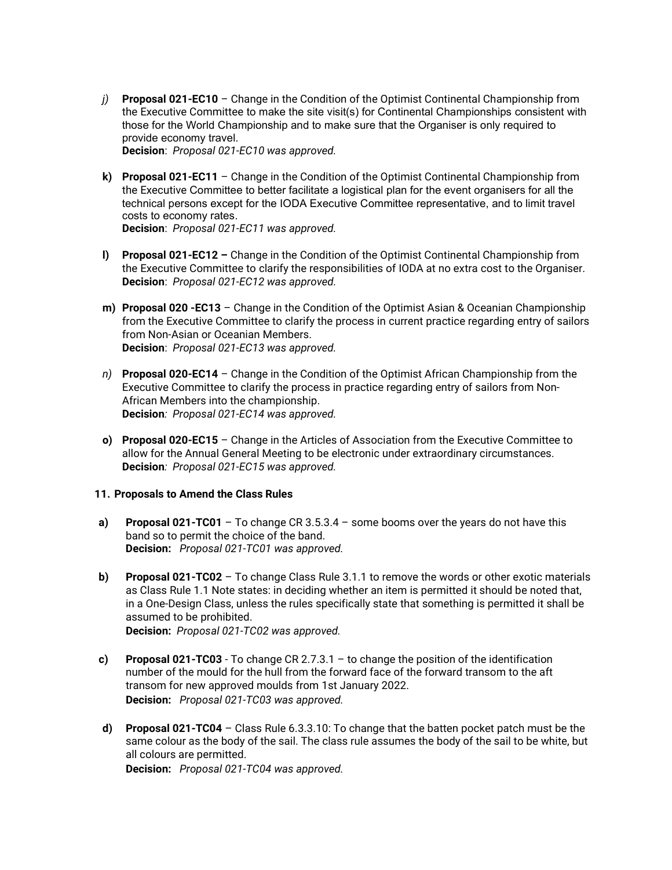- j) Proposal 021-EC10 Change in the Condition of the Optimist Continental Championship from the Executive Committee to make the site visit(s) for Continental Championships consistent with those for the World Championship and to make sure that the Organiser is only required to provide economy travel. Decision: Proposal 021-EC10 was approved.
- k) Proposal 021-EC11 Change in the Condition of the Optimist Continental Championship from the Executive Committee to better facilitate a logistical plan for the event organisers for all the technical persons except for the IODA Executive Committee representative, and to limit travel costs to economy rates. Decision: Proposal 021-EC11 was approved.
- l) Proposal 021-EC12 Change in the Condition of the Optimist Continental Championship from the Executive Committee to clarify the responsibilities of IODA at no extra cost to the Organiser. Decision: Proposal 021-EC12 was approved.
- m) Proposal 020 EC13 Change in the Condition of the Optimist Asian & Oceanian Championship from the Executive Committee to clarify the process in current practice regarding entry of sailors from Non-Asian or Oceanian Members. Decision: Proposal 021-EC13 was approved.
- n) Proposal 020-EC14 Change in the Condition of the Optimist African Championship from the Executive Committee to clarify the process in practice regarding entry of sailors from Non-African Members into the championship. Decision: Proposal 021-EC14 was approved.
- o) Proposal 020-EC15 Change in the Articles of Association from the Executive Committee to allow for the Annual General Meeting to be electronic under extraordinary circumstances. Decision: Proposal 021-EC15 was approved.

# 11. Proposals to Amend the Class Rules

- a) Proposal 021-TC01 To change CR 3.5.3.4 some booms over the years do not have this band so to permit the choice of the band. Decision: Proposal 021-TC01 was approved.
- b) Proposal 021-TC02 To change Class Rule 3.1.1 to remove the words or other exotic materials as Class Rule 1.1 Note states: in deciding whether an item is permitted it should be noted that, in a One-Design Class, unless the rules specifically state that something is permitted it shall be assumed to be prohibited. Decision: Proposal 021-TC02 was approved.
- c) Proposal 021-TC03 To change CR 2.7.3.1 to change the position of the identification number of the mould for the hull from the forward face of the forward transom to the aft transom for new approved moulds from 1st January 2022. Decision: Proposal 021-TC03 was approved.
- d) Proposal 021-TC04 Class Rule  $6.3.3.10$ : To change that the batten pocket patch must be the same colour as the body of the sail. The class rule assumes the body of the sail to be white, but all colours are permitted.

Decision: Proposal 021-TC04 was approved.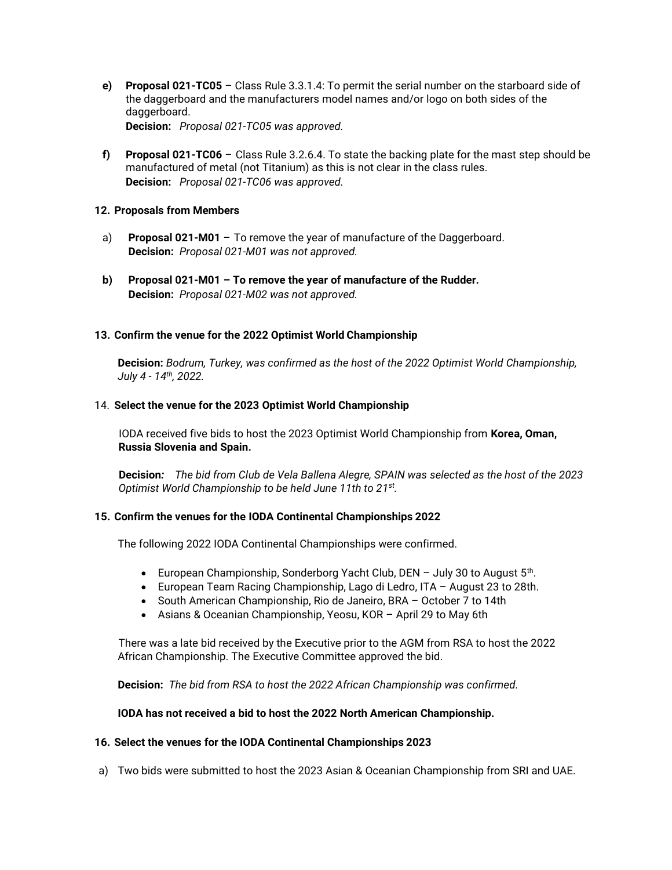e) Proposal 021-TC05 – Class Rule 3.3.1.4: To permit the serial number on the starboard side of the daggerboard and the manufacturers model names and/or logo on both sides of the daggerboard.

Decision: Proposal 021-TC05 was approved.

f) Proposal 021-TC06 – Class Rule 3.2.6.4. To state the backing plate for the mast step should be manufactured of metal (not Titanium) as this is not clear in the class rules. Decision: Proposal 021-TC06 was approved.

## 12. Proposals from Members

- a) Proposal 021-M01 To remove the year of manufacture of the Daggerboard. Decision: Proposal 021-M01 was not approved.
- b) Proposal 021-M01 To remove the year of manufacture of the Rudder. Decision: Proposal 021-M02 was not approved.

# 13. Confirm the venue for the 2022 Optimist World Championship

Decision: Bodrum, Turkey, was confirmed as the host of the 2022 Optimist World Championship, July 4 - 14th, 2022.

## 14. Select the venue for the 2023 Optimist World Championship

IODA received five bids to host the 2023 Optimist World Championship from Korea, Oman, Russia Slovenia and Spain.

Decision: The bid from Club de Vela Ballena Alegre, SPAIN was selected as the host of the 2023 Optimist World Championship to be held June 11th to 21<sup>st</sup>.

# 15. Confirm the venues for the IODA Continental Championships 2022

The following 2022 IODA Continental Championships were confirmed.

- European Championship, Sonderborg Yacht Club, DEN  $-$  July 30 to August  $5<sup>th</sup>$ .
- European Team Racing Championship, Lago di Ledro, ITA August 23 to 28th.
- South American Championship, Rio de Janeiro, BRA October 7 to 14th
- Asians & Oceanian Championship, Yeosu, KOR April 29 to May 6th

 There was a late bid received by the Executive prior to the AGM from RSA to host the 2022 African Championship. The Executive Committee approved the bid.

Decision: The bid from RSA to host the 2022 African Championship was confirmed.

### IODA has not received a bid to host the 2022 North American Championship.

### 16. Select the venues for the IODA Continental Championships 2023

a) Two bids were submitted to host the 2023 Asian & Oceanian Championship from SRI and UAE.